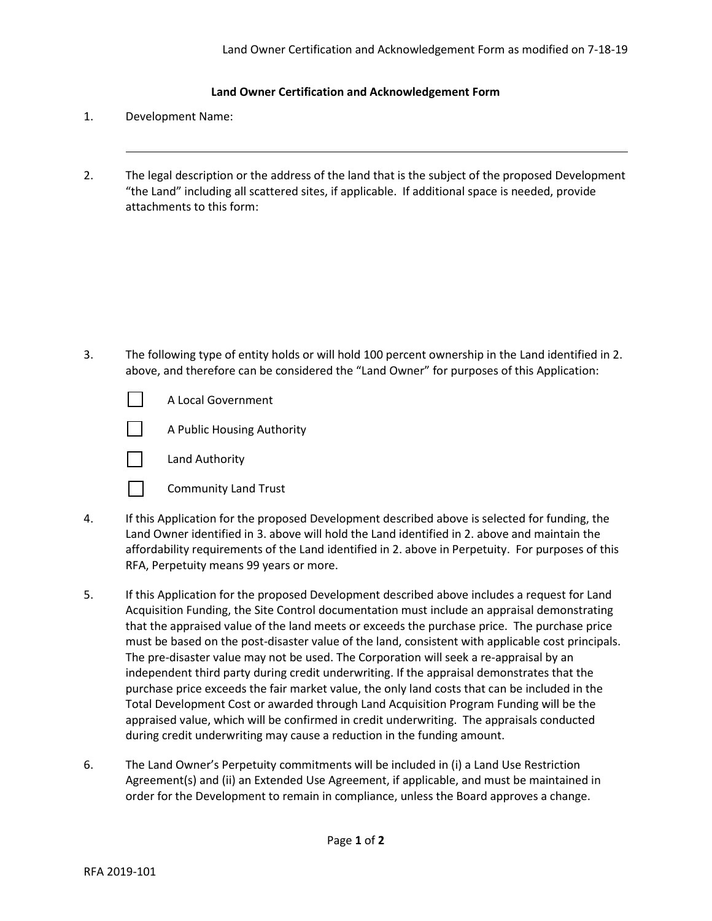## **Land Owner Certification and Acknowledgement Form**

- 1. Development Name:
- 2. The legal description or the address of the land that is the subject of the proposed Development "the Land" including all scattered sites, if applicable. If additional space is needed, provide attachments to this form:

3. The following type of entity holds or will hold 100 percent ownership in the Land identified in 2. above, and therefore can be considered the "Land Owner" for purposes of this Application:





Land Authority



- 4. If this Application for the proposed Development described above is selected for funding, the Land Owner identified in 3. above will hold the Land identified in 2. above and maintain the affordability requirements of the Land identified in 2. above in Perpetuity. For purposes of this RFA, Perpetuity means 99 years or more.
- 5. If this Application for the proposed Development described above includes a request for Land Acquisition Funding, the Site Control documentation must include an appraisal demonstrating that the appraised value of the land meets or exceeds the purchase price. The purchase price must be based on the post-disaster value of the land, consistent with applicable cost principals. The pre-disaster value may not be used. The Corporation will seek a re-appraisal by an independent third party during credit underwriting. If the appraisal demonstrates that the purchase price exceeds the fair market value, the only land costs that can be included in the Total Development Cost or awarded through Land Acquisition Program Funding will be the appraised value, which will be confirmed in credit underwriting. The appraisals conducted during credit underwriting may cause a reduction in the funding amount.
- 6. The Land Owner's Perpetuity commitments will be included in (i) a Land Use Restriction Agreement(s) and (ii) an Extended Use Agreement, if applicable, and must be maintained in order for the Development to remain in compliance, unless the Board approves a change.